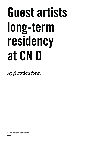# Guest artists long-term residency at CN D

Application form

Centre national de la danse cnd.fr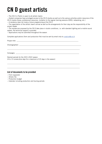### CN D guest artists

− The CN D in Pantin is open to all artistic teams

− Hosted companies have privileged access to the CN D studios as well as to the various activities and/or resources of the CN D (media library, professional resources, invitation to the regular training sessions (ERD), networking, etc.)

− A residency does not imply a future programming at the CN D

− The organisation of the artistic team's arrival as well as the arrangements for their stay are the responsibility of the project leader

− The residencies proposed by the CN D take place in studio conditions, i.e. with standard lighting and a mobile sound system. No technical support is provided

− Applications may be submitted throughout the season

Complete applications (form and production file) must be sent by email only to creation@cnd.fr

| Project title  |  |
|----------------|--|
|                |  |
| Choreographers |  |

\_\_\_\_\_\_\_\_\_\_\_\_\_\_\_\_\_\_\_\_\_\_\_\_\_\_\_\_\_\_\_\_\_\_\_\_\_\_\_\_\_\_\_\_\_\_\_\_\_\_\_\_\_\_\_\_\_\_\_\_\_\_\_\_\_\_\_\_\_\_\_\_\_\_\_\_\_\_\_\_\_\_\_\_\_\_\_\_\_

\_\_\_\_\_\_\_\_\_\_\_\_\_\_\_\_\_\_\_\_\_\_\_\_\_\_\_\_\_\_\_\_\_\_\_\_\_\_\_\_\_\_\_\_\_\_\_\_\_\_\_\_\_\_\_\_\_\_\_\_\_\_\_\_\_\_\_\_\_\_\_\_\_\_\_\_\_\_\_\_\_\_\_\_\_\_\_\_\_

\_\_\_\_\_\_\_\_\_\_\_\_\_\_\_\_\_\_\_\_\_\_\_\_\_\_\_\_\_\_\_\_\_\_\_\_\_\_\_\_\_\_\_\_\_\_\_\_\_\_\_\_\_\_\_\_\_\_\_\_\_\_\_\_\_\_\_\_\_\_\_\_\_\_\_\_\_\_\_\_\_\_\_\_\_\_\_\_\_

Compagny \_\_\_\_\_\_\_\_\_\_\_\_\_\_\_\_\_\_\_\_\_\_\_\_\_\_\_\_\_\_\_\_\_\_\_\_\_\_\_\_\_\_\_\_\_\_\_\_\_\_\_\_\_\_\_\_\_\_\_\_\_\_\_\_\_\_\_\_\_\_\_\_\_\_\_\_\_\_

Desired periods for the 2021-2022 season (4 to 13 consecutive days for a maximum of 20 days in the season)

#### List of documents to be provided

- − Form (opposite)
- − Artistic file
- − Production budget
- − Calendar including production and touring periods